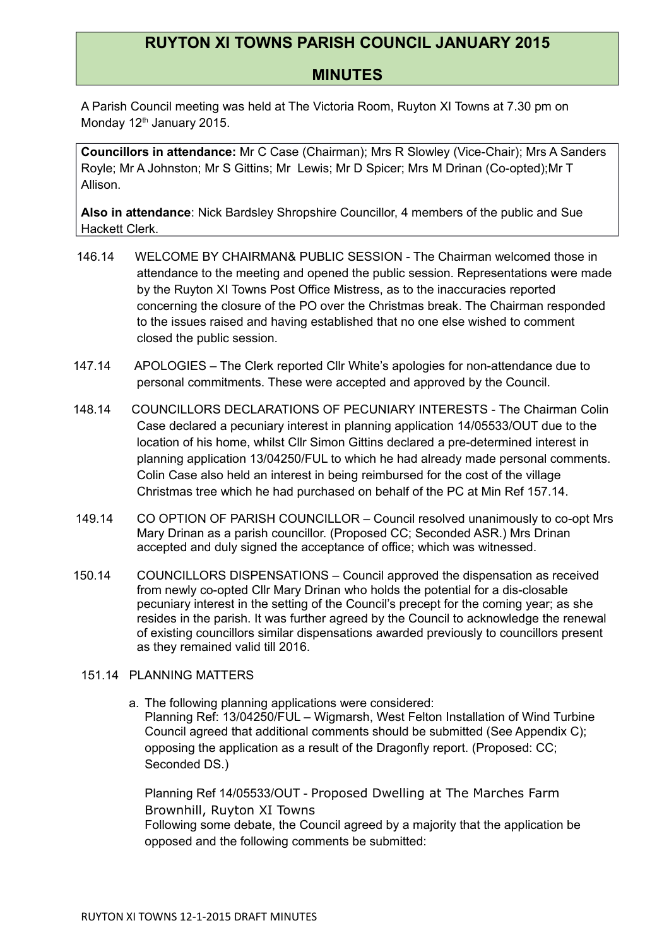## **RUYTON XI TOWNS PARISH COUNCIL JANUARY 2015**

## **MINUTES**

A Parish Council meeting was held at The Victoria Room, Ruyton XI Towns at 7.30 pm on Monday 12<sup>th</sup> January 2015.

**Councillors in attendance:** Mr C Case (Chairman); Mrs R Slowley (Vice-Chair); Mrs A Sanders Royle; Mr A Johnston; Mr S Gittins; Mr Lewis; Mr D Spicer; Mrs M Drinan (Co-opted);Mr T Allison.

**Also in attendance**: Nick Bardsley Shropshire Councillor, 4 members of the public and Sue Hackett Clerk.

- 146.14 WELCOME BY CHAIRMAN& PUBLIC SESSION The Chairman welcomed those in attendance to the meeting and opened the public session. Representations were made by the Ruyton XI Towns Post Office Mistress, as to the inaccuracies reported concerning the closure of the PO over the Christmas break. The Chairman responded to the issues raised and having established that no one else wished to comment closed the public session.
- 147.14 APOLOGIES The Clerk reported Cllr White's apologies for non-attendance due to personal commitments. These were accepted and approved by the Council.
- 148.14 COUNCILLORS DECLARATIONS OF PECUNIARY INTERESTS The Chairman Colin Case declared a pecuniary interest in planning application 14/05533/OUT due to the location of his home, whilst Cllr Simon Gittins declared a pre-determined interest in planning application 13/04250/FUL to which he had already made personal comments. Colin Case also held an interest in being reimbursed for the cost of the village Christmas tree which he had purchased on behalf of the PC at Min Ref 157.14.
- 149.14 CO OPTION OF PARISH COUNCILLOR Council resolved unanimously to co-opt Mrs Mary Drinan as a parish councillor. (Proposed CC; Seconded ASR.) Mrs Drinan accepted and duly signed the acceptance of office; which was witnessed.
- 150.14 COUNCILLORS DISPENSATIONS Council approved the dispensation as received from newly co-opted Cllr Mary Drinan who holds the potential for a dis-closable pecuniary interest in the setting of the Council's precept for the coming year; as she resides in the parish. It was further agreed by the Council to acknowledge the renewal of existing councillors similar dispensations awarded previously to councillors present as they remained valid till 2016.

## 151.14 PLANNING MATTERS

a. The following planning applications were considered: Planning Ref: 13/04250/FUL – Wigmarsh, West Felton Installation of Wind Turbine Council agreed that additional comments should be submitted (See Appendix C); opposing the application as a result of the Dragonfly report. (Proposed: CC; Seconded DS.)

Planning Ref 14/05533/OUT - Proposed Dwelling at The Marches Farm Brownhill, Ruyton XI Towns Following some debate, the Council agreed by a majority that the application be opposed and the following comments be submitted: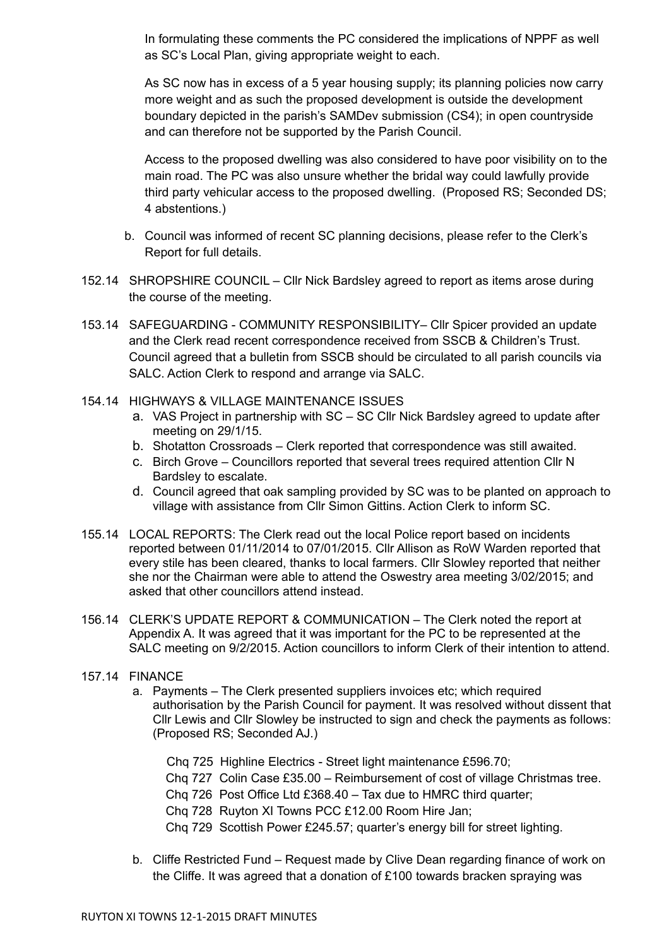In formulating these comments the PC considered the implications of NPPF as well as SC's Local Plan, giving appropriate weight to each.

As SC now has in excess of a 5 year housing supply; its planning policies now carry more weight and as such the proposed development is outside the development boundary depicted in the parish's SAMDev submission (CS4); in open countryside and can therefore not be supported by the Parish Council.

Access to the proposed dwelling was also considered to have poor visibility on to the main road. The PC was also unsure whether the bridal way could lawfully provide third party vehicular access to the proposed dwelling. (Proposed RS; Seconded DS; 4 abstentions.)

- b. Council was informed of recent SC planning decisions, please refer to the Clerk's Report for full details.
- 152.14 SHROPSHIRE COUNCIL Cllr Nick Bardsley agreed to report as items arose during the course of the meeting.
- 153.14 SAFEGUARDING COMMUNITY RESPONSIBILITY– Cllr Spicer provided an update and the Clerk read recent correspondence received from SSCB & Children's Trust. Council agreed that a bulletin from SSCB should be circulated to all parish councils via SALC. Action Clerk to respond and arrange via SALC.
- 154.14 HIGHWAYS & VILLAGE MAINTENANCE ISSUES
	- a. VAS Project in partnership with SC SC Cllr Nick Bardsley agreed to update after meeting on 29/1/15.
	- b. Shotatton Crossroads Clerk reported that correspondence was still awaited.
	- c. Birch Grove Councillors reported that several trees required attention Cllr N Bardsley to escalate.
	- d. Council agreed that oak sampling provided by SC was to be planted on approach to village with assistance from Cllr Simon Gittins. Action Clerk to inform SC.
- 155.14 LOCAL REPORTS: The Clerk read out the local Police report based on incidents reported between 01/11/2014 to 07/01/2015. Cllr Allison as RoW Warden reported that every stile has been cleared, thanks to local farmers. Cllr Slowley reported that neither she nor the Chairman were able to attend the Oswestry area meeting 3/02/2015; and asked that other councillors attend instead.
- 156.14 CLERK'S UPDATE REPORT & COMMUNICATION The Clerk noted the report at Appendix A. It was agreed that it was important for the PC to be represented at the SALC meeting on 9/2/2015. Action councillors to inform Clerk of their intention to attend.
- 157.14 FINANCE
	- a. Payments The Clerk presented suppliers invoices etc; which required authorisation by the Parish Council for payment. It was resolved without dissent that Cllr Lewis and Cllr Slowley be instructed to sign and check the payments as follows: (Proposed RS; Seconded AJ.)
		- Chq 725 Highline Electrics Street light maintenance £596.70;
		- Chq 727 Colin Case £35.00 Reimbursement of cost of village Christmas tree.
		- Chq 726 Post Office Ltd £368.40 Tax due to HMRC third quarter;
		- Chq 728 Ruyton XI Towns PCC £12.00 Room Hire Jan;
		- Chq 729 Scottish Power £245.57; quarter's energy bill for street lighting.
	- b. Cliffe Restricted Fund Request made by Clive Dean regarding finance of work on the Cliffe. It was agreed that a donation of £100 towards bracken spraying was